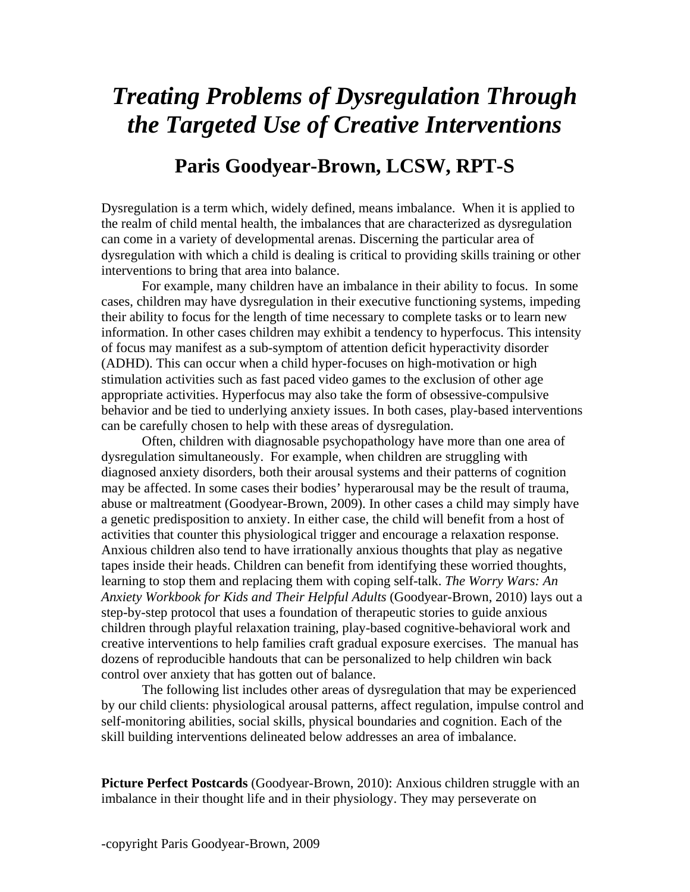## *Treating Problems of Dysregulation Through the Targeted Use of Creative Interventions*

## **Paris Goodyear-Brown, LCSW, RPT-S**

Dysregulation is a term which, widely defined, means imbalance. When it is applied to the realm of child mental health, the imbalances that are characterized as dysregulation can come in a variety of developmental arenas. Discerning the particular area of dysregulation with which a child is dealing is critical to providing skills training or other interventions to bring that area into balance.

For example, many children have an imbalance in their ability to focus. In some cases, children may have dysregulation in their executive functioning systems, impeding their ability to focus for the length of time necessary to complete tasks or to learn new information. In other cases children may exhibit a tendency to hyperfocus. This intensity of focus may manifest as a sub-symptom of attention deficit hyperactivity disorder (ADHD). This can occur when a child hyper-focuses on high-motivation or high stimulation activities such as fast paced video games to the exclusion of other age appropriate activities. Hyperfocus may also take the form of obsessive-compulsive behavior and be tied to underlying anxiety issues. In both cases, play-based interventions can be carefully chosen to help with these areas of dysregulation.

Often, children with diagnosable psychopathology have more than one area of dysregulation simultaneously. For example, when children are struggling with diagnosed anxiety disorders, both their arousal systems and their patterns of cognition may be affected. In some cases their bodies' hyperarousal may be the result of trauma, abuse or maltreatment (Goodyear-Brown, 2009). In other cases a child may simply have a genetic predisposition to anxiety. In either case, the child will benefit from a host of activities that counter this physiological trigger and encourage a relaxation response. Anxious children also tend to have irrationally anxious thoughts that play as negative tapes inside their heads. Children can benefit from identifying these worried thoughts, learning to stop them and replacing them with coping self-talk. *The Worry Wars: An Anxiety Workbook for Kids and Their Helpful Adults* (Goodyear-Brown, 2010) lays out a step-by-step protocol that uses a foundation of therapeutic stories to guide anxious children through playful relaxation training, play-based cognitive-behavioral work and creative interventions to help families craft gradual exposure exercises. The manual has dozens of reproducible handouts that can be personalized to help children win back control over anxiety that has gotten out of balance.

 The following list includes other areas of dysregulation that may be experienced by our child clients: physiological arousal patterns, affect regulation, impulse control and self-monitoring abilities, social skills, physical boundaries and cognition. Each of the skill building interventions delineated below addresses an area of imbalance.

**Picture Perfect Postcards** (Goodyear-Brown, 2010): Anxious children struggle with an imbalance in their thought life and in their physiology. They may perseverate on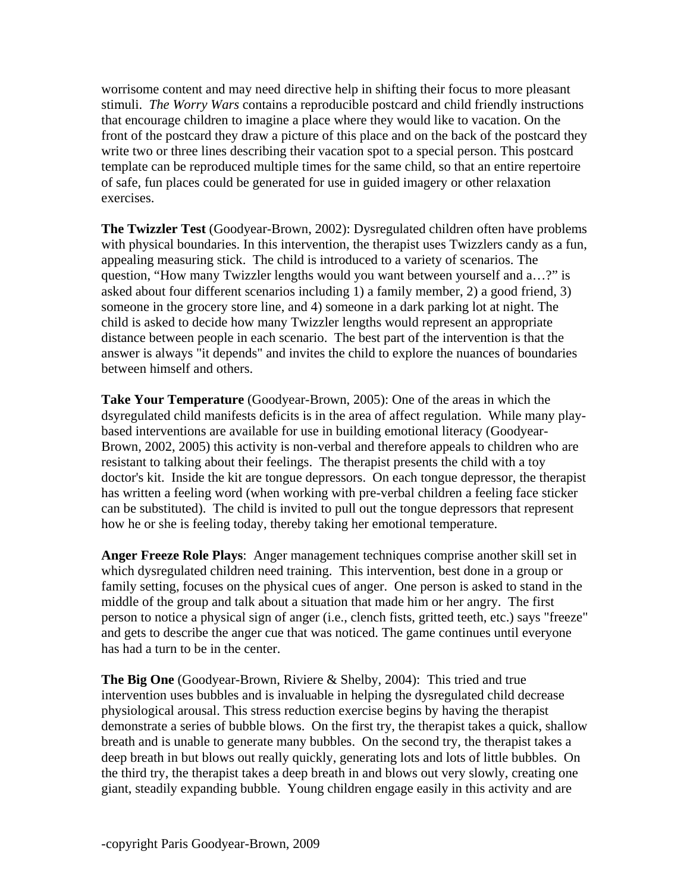worrisome content and may need directive help in shifting their focus to more pleasant stimuli. *The Worry Wars* contains a reproducible postcard and child friendly instructions that encourage children to imagine a place where they would like to vacation. On the front of the postcard they draw a picture of this place and on the back of the postcard they write two or three lines describing their vacation spot to a special person. This postcard template can be reproduced multiple times for the same child, so that an entire repertoire of safe, fun places could be generated for use in guided imagery or other relaxation exercises.

**The Twizzler Test** (Goodyear-Brown, 2002): Dysregulated children often have problems with physical boundaries. In this intervention, the therapist uses Twizzlers candy as a fun, appealing measuring stick. The child is introduced to a variety of scenarios. The question, "How many Twizzler lengths would you want between yourself and a…?" is asked about four different scenarios including 1) a family member, 2) a good friend, 3) someone in the grocery store line, and 4) someone in a dark parking lot at night. The child is asked to decide how many Twizzler lengths would represent an appropriate distance between people in each scenario. The best part of the intervention is that the answer is always "it depends" and invites the child to explore the nuances of boundaries between himself and others.

**Take Your Temperature** (Goodyear-Brown, 2005): One of the areas in which the dsyregulated child manifests deficits is in the area of affect regulation. While many playbased interventions are available for use in building emotional literacy (Goodyear-Brown, 2002, 2005) this activity is non-verbal and therefore appeals to children who are resistant to talking about their feelings. The therapist presents the child with a toy doctor's kit. Inside the kit are tongue depressors. On each tongue depressor, the therapist has written a feeling word (when working with pre-verbal children a feeling face sticker can be substituted). The child is invited to pull out the tongue depressors that represent how he or she is feeling today, thereby taking her emotional temperature.

**Anger Freeze Role Plays**: Anger management techniques comprise another skill set in which dysregulated children need training. This intervention, best done in a group or family setting, focuses on the physical cues of anger. One person is asked to stand in the middle of the group and talk about a situation that made him or her angry. The first person to notice a physical sign of anger (i.e., clench fists, gritted teeth, etc.) says "freeze" and gets to describe the anger cue that was noticed. The game continues until everyone has had a turn to be in the center.

**The Big One** (Goodyear-Brown, Riviere & Shelby, 2004): This tried and true intervention uses bubbles and is invaluable in helping the dysregulated child decrease physiological arousal. This stress reduction exercise begins by having the therapist demonstrate a series of bubble blows. On the first try, the therapist takes a quick, shallow breath and is unable to generate many bubbles. On the second try, the therapist takes a deep breath in but blows out really quickly, generating lots and lots of little bubbles. On the third try, the therapist takes a deep breath in and blows out very slowly, creating one giant, steadily expanding bubble. Young children engage easily in this activity and are